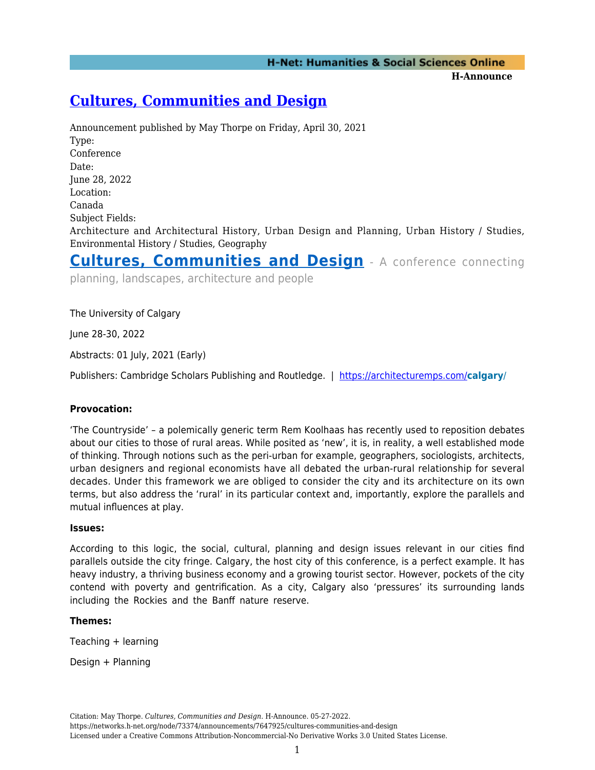**H-Announce** 

# **[Cultures, Communities and Design](https://networks.h-net.org/node/73374/announcements/7647925/cultures-communities-and-design)**

Announcement published by May Thorpe on Friday, April 30, 2021 Type: Conference Date: June 28, 2022 Location: Canada Subject Fields: Architecture and Architectural History, Urban Design and Planning, Urban History / Studies, Environmental History / Studies, Geography

**[Cultures, Communities and Design](https://architecturemps.com/calgary/)** - A conference connecting

planning, landscapes, architecture and people

The University of Calgary

June 28-30, 2022

Abstracts: 01 July, 2021 (Early)

Publishers: Cambridge Scholars Publishing and Routledge. | <https://architecturemps.com/>**calgary**/

## **Provocation:**

'The Countryside' – a polemically generic term Rem Koolhaas has recently used to reposition debates about our cities to those of rural areas. While posited as 'new', it is, in reality, a well established mode of thinking. Through notions such as the peri-urban for example, geographers, sociologists, architects, urban designers and regional economists have all debated the urban-rural relationship for several decades. Under this framework we are obliged to consider the city and its architecture on its own terms, but also address the 'rural' in its particular context and, importantly, explore the parallels and mutual influences at play.

#### **Issues:**

According to this logic, the social, cultural, planning and design issues relevant in our cities find parallels outside the city fringe. Calgary, the host city of this conference, is a perfect example. It has heavy industry, a thriving business economy and a growing tourist sector. However, pockets of the city contend with poverty and gentrification. As a city, Calgary also 'pressures' its surrounding lands including the Rockies and the Banff nature reserve.

## **Themes:**

Teaching + learning

Design + Planning

Citation: May Thorpe. *Cultures, Communities and Design*. H-Announce. 05-27-2022. https://networks.h-net.org/node/73374/announcements/7647925/cultures-communities-and-design Licensed under a Creative Commons Attribution-Noncommercial-No Derivative Works 3.0 United States License.